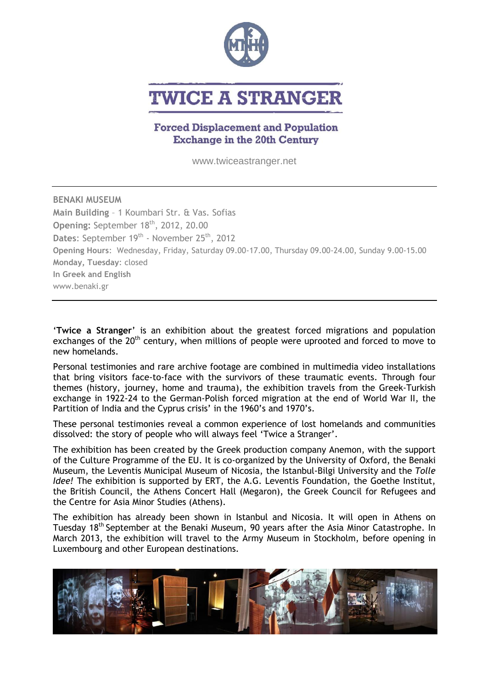

# **TWICE A STRANGER**

# **Forced Displacement and Population Exchange in the 20th Century**

www.twiceastranger.net

**BENAKI MUSEUM Main Building** – 1 Koumbari Str. & Vas. Sofias **Opening:** September 18<sup>th</sup>, 2012, 20.00 Dates: September 19<sup>th</sup> - November 25<sup>th</sup>, 2012 **Opening Hours**: Wednesday, Friday, Saturday 09.00-17.00, Thursday 09.00-24.00, Sunday 9.00-15.00 **Monday, Tuesday**: closed **In Greek and English** www.benaki.gr

'**Twice a Stranger**' is an exhibition about the greatest forced migrations and population exchanges of the  $20<sup>th</sup>$  century, when millions of people were uprooted and forced to move to new homelands.

Personal testimonies and rare archive footage are combined in multimedia video installations that bring visitors face-to-face with the survivors of these traumatic events. Through four themes (history, journey, home and trauma), the exhibition travels from the Greek-Turkish exchange in 1922-24 to the German-Polish forced migration at the end of World War II, the Partition of India and the Cyprus crisis' in the 1960's and 1970's.

These personal testimonies reveal a common experience of lost homelands and communities dissolved: the story of people who will always feel 'Twice a Stranger'.

The exhibition has been created by the Greek production company Anemon, with the support of the Culture Programme of the EU. It is co-organized by the University of Oxford, the Benaki Museum, the Leventis Municipal Museum of Nicosia, the Istanbul-Bilgi University and the *Tolle Idee!* The exhibition is supported by ERT, the A.G. Leventis Foundation, the Goethe Institut, the British Council, the Athens Concert Hall (Megaron), the Greek Council for Refugees and the Centre for Asia Minor Studies (Athens).

The exhibition has already been shown in Istanbul and Nicosia. It will open in Athens on Tuesday 18<sup>th</sup> September at the Benaki Museum, 90 years after the Asia Minor Catastrophe. In March 2013, the exhibition will travel to the Army Museum in Stockholm, before opening in Luxembourg and other European destinations.

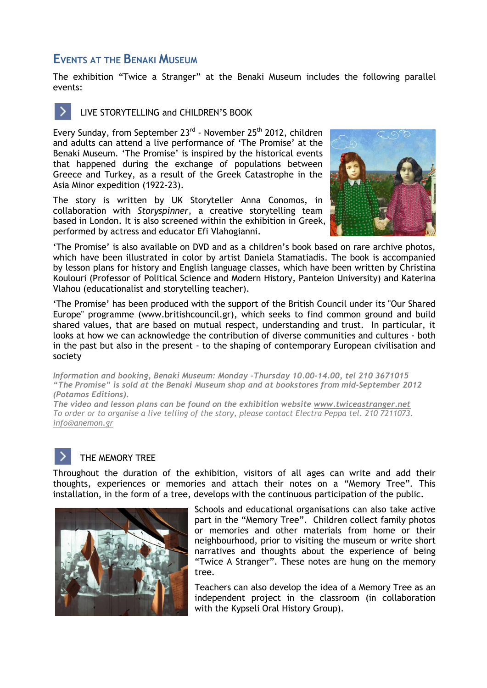# **EVENTS AT THE BENAKI MUSEUM**

The exhibition "Twice a Stranger" at the Benaki Museum includes the following parallel events:



> LIVE STORYTELLING and CHILDREN'S BOOK

Every Sunday, from September 23<sup>rd</sup> - November 25<sup>th</sup> 2012, children and adults can attend a live performance of 'The Promise' at the Benaki Museum. 'The Promise' is inspired by the historical events that happened during the exchange of populations between Greece and Turkey, as a result of the Greek Catastrophe in the Asia Minor expedition (1922-23).

The story is written by UK Storyteller Anna Conomos, in collaboration with *Storyspinner*, a creative storytelling team based in London. It is also screened within the exhibition in Greek, performed by actress and educator Efi Vlahogianni.



'The Promise' is also available on DVD and as a children's book based on rare archive photos, which have been illustrated in color by artist Daniela Stamatiadis. The book is accompanied by lesson plans for history and English language classes, which have been written by Christina Koulouri (Professor of Political Science and Modern History, Panteion University) and Katerina Vlahou (educationalist and storytelling teacher).

'The Promise' has been produced with the support of the British Council under its "Our Shared Europe" programme [\(www.britishcouncil.gr\)](http://www.britishcouncil.gr), which seeks to find common ground and build shared values, that are based on mutual respect, understanding and trust. In particular, it looks at how we can acknowledge the contribution of diverse communities and cultures - both in the past but also in the present - to the shaping of contemporary European civilisation and society

*Information and booking, Benaki Museum: Monday –Thursday 10.00-14.00, tel 210 3671015 "The Promise" is sold at the Benaki Museum shop and at bookstores from mid-September 2012 (Potamos Editions).*

*The video and lesson plans can be found on the exhibition website [www.twiceastranger.net](http://www.twiceastranger.net/) To order or to organise a live telling of the story, please contact Electra Peppa tel. 210 7211073. [info@anemon.gr](mailto:info@anemon.gr)*

## THE MEMORY TREE

Throughout the duration of the exhibition, visitors of all ages can write and add their thoughts, experiences or memories and attach their notes on a "Memory Tree". This installation, in the form of a tree, develops with the continuous participation of the public.



Schools and educational organisations can also take active part in the "Memory Tree". Children collect family photos or memories and other materials from home or their neighbourhood, prior to visiting the museum or write short narratives and thoughts about the experience of being "Twice A Stranger". These notes are hung on the memory tree.

Teachers can also develop the idea of a Memory Tree as an independent project in the classroom (in collaboration with the Kypseli Oral History Group).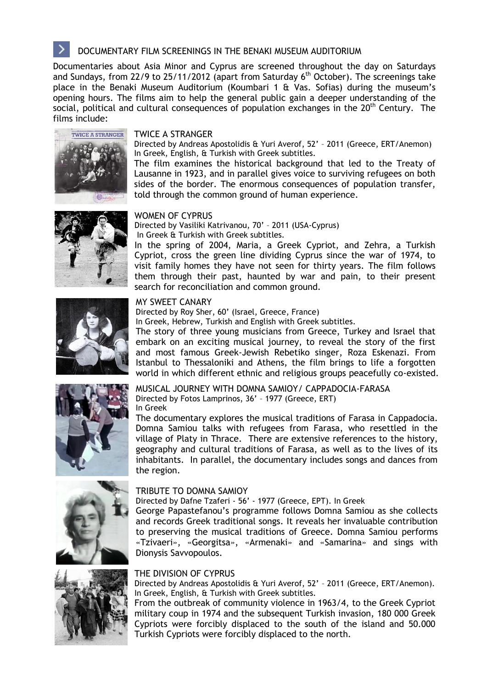# DOCUMENTARY FILM SCREENINGS IN THE BENAKI MUSEUM AUDITORIUM

Documentaries about Asia Minor and Cyprus are screened throughout the day on Saturdays and Sundays, from 22/9 to 25/11/2012 (apart from Saturday  $6<sup>th</sup>$  October). The screenings take place in the Benaki Museum Auditorium (Koumbari 1 & Vas. Sofias) during the museum's opening hours. The films aim to help the general public gain a deeper understanding of the social, political and cultural consequences of population exchanges in the 20<sup>th</sup> Century. The films include:



#### TWICE A STRANGER

Directed by Andreas Apostolidis & Yuri Averof, 52' – 2011 (Greece, ERT/Anemon) In Greek, English, & Turkish with Greek subtitles.

The film examines the historical background that led to the Treaty of Lausanne in 1923, and in parallel gives voice to surviving refugees on both sides of the border. The enormous consequences of population transfer, told through the common ground of human experience.



#### WOMEN OF CYPRUS

Directed by Vasiliki Katrivanou, 70' – 2011 (USA-Cyprus) In Greek & Turkish with Greek subtitles.

In the spring of 2004, Maria, a Greek Cypriot, and Zehra, a Turkish Cypriot, cross the green line dividing Cyprus since the war of 1974, to visit family homes they have not seen for thirty years. The film follows them through their past, haunted by war and pain, to their present search for reconciliation and common ground.

### MY SWEET CANARY

Directed by Roy Sher, 60' (Israel, Greece, France)

In Greek, Hebrew, Turkish and English with Greek subtitles.

The story of three young musicians from Greece, Turkey and Israel that embark on an exciting musical journey, to reveal the story of the first and most famous Greek-Jewish Rebetiko singer, Roza Eskenazi. From Istanbul to Thessaloniki and Athens, the film brings to life a forgotten world in which different ethnic and religious groups peacefully co-existed.



MUSICAL JOURNEY WITH DOMNA SAMIOY/ CAPPADOCIA-FARASA Directed by Fotos Lamprinos, 36' – 1977 (Greece, ERT)

In Greek

The documentary explores the musical traditions of Farasa in Cappadocia. Domna Samiou talks with refugees from Farasa, who resettled in the village of Platy in Thrace. There are extensive references to the history, geography and cultural traditions of Farasa, as well as to the lives of its inhabitants. In parallel, the documentary includes songs and dances from the region.





#### TRIBUTE TO DOMNA SAMIOY

Directed by Dafne Tzaferi - 56' - 1977 (Greece, ΕΡΤ). In Greek

George Papastefanou's programme follows Domna Samiou as she collects and records Greek traditional songs. It reveals her invaluable contribution to preserving the musical traditions of Greece. Domna Samiou performs «Tzivaeri», «Georgitsa», «Armenaki» and «Samarina» and sings with Dionysis Savvopoulos.

#### THE DIVISION OF CYPRUS

Directed by Andreas Apostolidis & Yuri Averof, 52' – 2011 (Greece, ERT/Anemon). In Greek, English, & Turkish with Greek subtitles.

From the outbreak of community violence in 1963/4, to the Greek Cypriot military coup in 1974 and the subsequent Turkish invasion, 180 000 Greek Cypriots were forcibly displaced to the south of the island and 50.000 Turkish Cypriots were forcibly displaced to the north.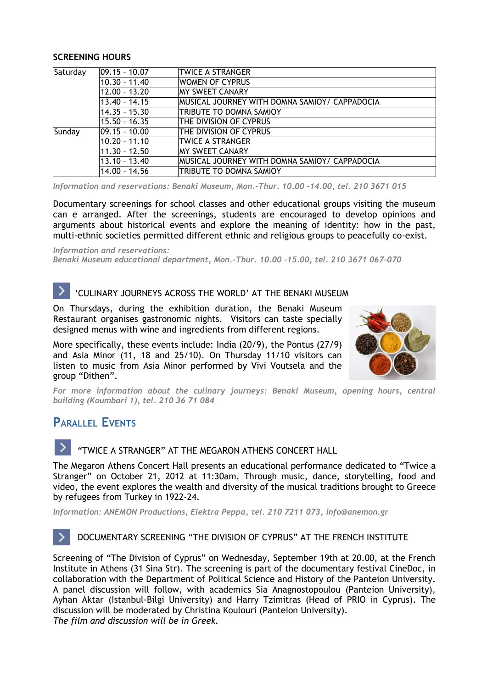#### **SCREENING HOURS**

| Saturday | $ 09.15 - 10.07$  | <b>TWICE A STRANGER</b>                       |
|----------|-------------------|-----------------------------------------------|
|          | $10.30 - 11.40$   | <b>WOMEN OF CYPRUS</b>                        |
|          | $12.00 - 13.20$   | <b>MY SWEET CANARY</b>                        |
|          | $13.40 - 14.15$   | MUSICAL JOURNEY WITH DOMNA SAMIOY/ CAPPADOCIA |
|          | $14.35 - 15.30$   | TRIBUTE TO DOMNA SAMIOY                       |
|          | $15.50 - 16.35$   | THE DIVISION OF CYPRUS                        |
| Sunday   | $ 09.15 - 10.00 $ | THE DIVISION OF CYPRUS                        |
|          | $10.20 - 11.10$   | <b>TWICE A STRANGER</b>                       |
|          | $11.30 - 12.50$   | IMY SWEET CANARY                              |
|          | $13.10 - 13.40$   | MUSICAL JOURNEY WITH DOMNA SAMIOY/ CAPPADOCIA |
|          | 14.00 - 14.56     | TRIBUTE TO DOMNA SAMIOY                       |

*Information and reservations: Benaki Museum, Mon.-Thur. 10.00 -14.00, tel. 210 3671 015*

Documentary screenings for school classes and other educational groups visiting the museum can e arranged. After the screenings, students are encouraged to develop opinions and arguments about historical events and explore the meaning of identity: how in the past, multi-ethnic societies permitted different ethnic and religious groups to peacefully co-exist.

*Information and reservations:*

*Benaki Museum educational department, Mon.-Thur. 10.00 -15.00, tel. 210 3671 067-070*

# 'CULINARY JOURNEYS ACROSS THE WORLD' AT THE BENAKI MUSEUM

On Thursdays, during the exhibition duration, the Benaki Museum Restaurant organises gastronomic nights. Visitors can taste specially designed menus with wine and ingredients from different regions.

More specifically, these events include: India (20/9), the Pontus (27/9) and Asia Minor (11, 18 and 25/10). On Thursday 11/10 visitors can listen to music from Asia Minor performed by Vivi Voutsela and the group "Dithen".



*For more information about the culinary journeys: Benaki Museum, opening hours, central building (Koumbari 1), tel. 210 36 71 084*

# **PARALLEL EVENTS**

"TWICE A STRANGER" AT THE MEGARON ATHENS CONCERT HALL

The Megaron Athens Concert Hall presents an educational performance dedicated to "Twice a Stranger" on October 21, 2012 at 11:30am. Through music, dance, storytelling, food and video, the event explores the wealth and diversity of the musical traditions brought to Greece by refugees from Turkey in 1922-24.

*Information: ANEMON Productions, Elektra Peppa, τel. 210 7211 073, [info@anemon.gr](mailto:info@anemon.gr)*

# DOCUMENTARY SCREENING "THE DIVISION OF CYPRUS" AT THE FRENCH INSTITUTE

Screening of "The Division of Cyprus" on Wednesday, September 19th at 20.00, at the French Institute in Athens (31 Sina Str). The screening is part of the documentary festival CineDoc, in collaboration with the Department of Political Science and History of the Panteion University. A panel discussion will follow, with academics Sia Anagnostopoulou (Panteion University), Ayhan Aktar (Istanbul-Bilgi University) and Harry Tzimitras (Head of PRIO in Cyprus). The discussion will be moderated by Christina Koulouri (Panteion University). *The film and discussion will be in Greek.*